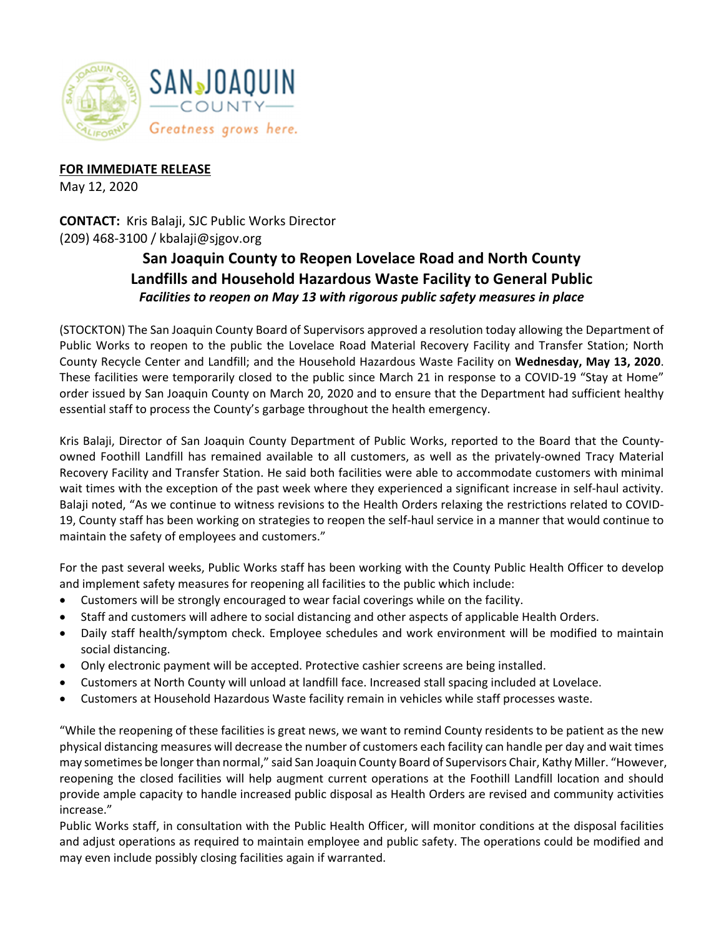

## **FOR IMMEDIATE RELEASE**

May 12, 2020

**CONTACT:** Kris Balaji, SJC Public Works Director (209) 468‐3100 / kbalaji@sjgov.org

## **San Joaquin County to Reopen Lovelace Road and North County Landfills and Household Hazardous Waste Facility to General Public**  *Facilities to reopen on May 13 with rigorous public safety measures in place*

(STOCKTON) The San Joaquin County Board of Supervisors approved a resolution today allowing the Department of Public Works to reopen to the public the Lovelace Road Material Recovery Facility and Transfer Station; North County Recycle Center and Landfill; and the Household Hazardous Waste Facility on **Wednesday, May 13, 2020**. These facilities were temporarily closed to the public since March 21 in response to a COVID‐19 "Stay at Home" order issued by San Joaquin County on March 20, 2020 and to ensure that the Department had sufficient healthy essential staff to process the County's garbage throughout the health emergency.

Kris Balaji, Director of San Joaquin County Department of Public Works, reported to the Board that the County‐ owned Foothill Landfill has remained available to all customers, as well as the privately‐owned Tracy Material Recovery Facility and Transfer Station. He said both facilities were able to accommodate customers with minimal wait times with the exception of the past week where they experienced a significant increase in self-haul activity. Balaji noted, "As we continue to witness revisions to the Health Orders relaxing the restrictions related to COVID‐ 19, County staff has been working on strategies to reopen the self‐haul service in a manner that would continue to maintain the safety of employees and customers."

For the past several weeks, Public Works staff has been working with the County Public Health Officer to develop and implement safety measures for reopening all facilities to the public which include:

- Customers will be strongly encouraged to wear facial coverings while on the facility.
- Staff and customers will adhere to social distancing and other aspects of applicable Health Orders.
- Daily staff health/symptom check. Employee schedules and work environment will be modified to maintain social distancing.
- Only electronic payment will be accepted. Protective cashier screens are being installed.
- Customers at North County will unload at landfill face. Increased stall spacing included at Lovelace.
- Customers at Household Hazardous Waste facility remain in vehicles while staff processes waste.

"While the reopening of these facilities is great news, we want to remind County residents to be patient as the new physical distancing measures will decrease the number of customers each facility can handle per day and wait times may sometimes be longer than normal," said San Joaquin County Board of Supervisors Chair, Kathy Miller. "However, reopening the closed facilities will help augment current operations at the Foothill Landfill location and should provide ample capacity to handle increased public disposal as Health Orders are revised and community activities increase."

Public Works staff, in consultation with the Public Health Officer, will monitor conditions at the disposal facilities and adjust operations as required to maintain employee and public safety. The operations could be modified and may even include possibly closing facilities again if warranted.